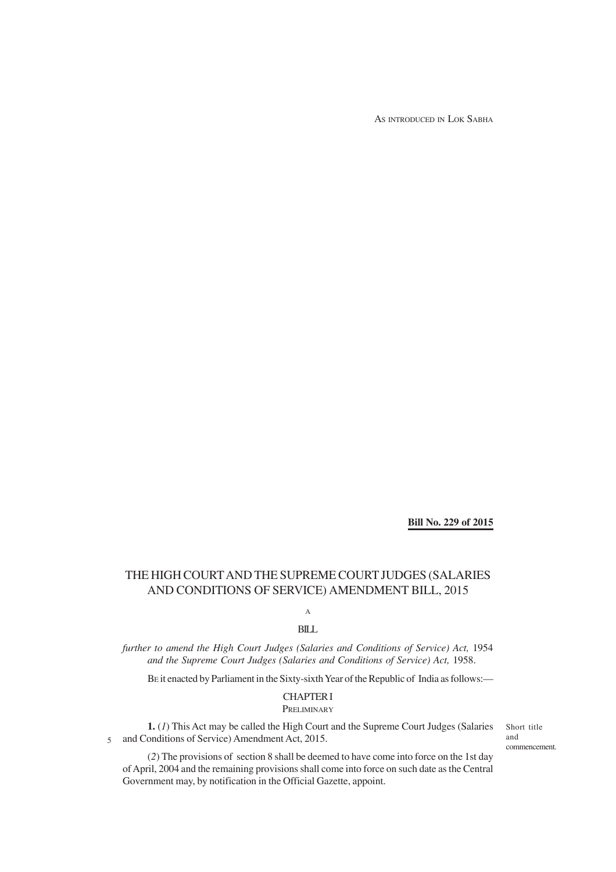AS INTRODUCED IN LOK SABHA

**Bill No. 229 of 2015**

# THE HIGH COURT AND THE SUPREME COURT JUDGES (SALARIES AND CONDITIONS OF SERVICE) AMENDMENT BILL, 2015

A

BILL

*further to amend the High Court Judges (Salaries and Conditions of Service) Act, 1954 and the Supreme Court Judges (Salaries and Conditions of Service) Act,* 1958.

BE it enacted by Parliament in the Sixty-sixth Year of the Republic of India as follows:—

### CHAPTER I

PRELIMINARY

**1.** (*1*) This Act may be called the High Court and the Supreme Court Judges (Salaries and Conditions of Service) Amendment Act, 2015. 5

Short title and commencement.

(*2*) The provisions of section 8 shall be deemed to have come into force on the 1st day of April, 2004 and the remaining provisions shall come into force on such date as the Central Government may, by notification in the Official Gazette, appoint.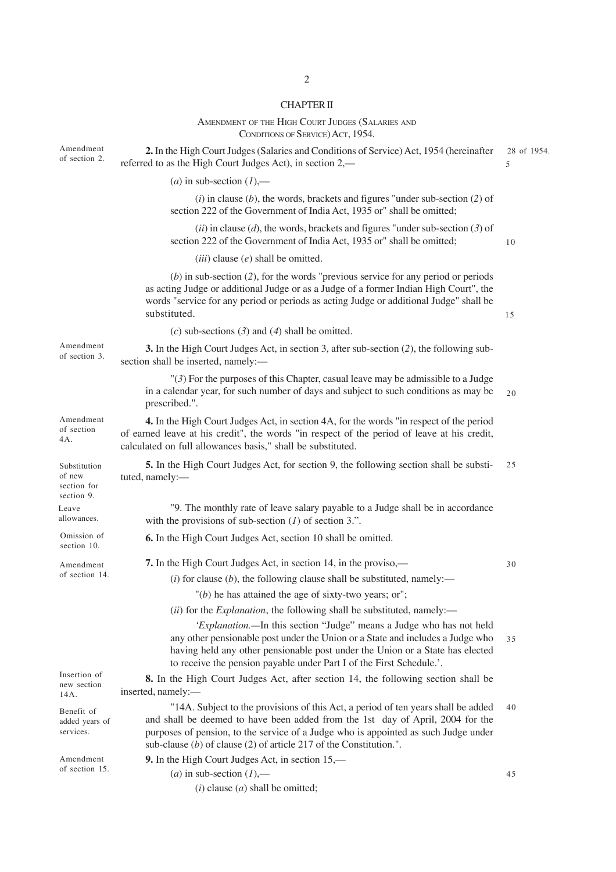# 2

## CHAPTER II

|                                                     | AMENDMENT OF THE HIGH COURT JUDGES (SALARIES AND<br>CONDITIONS OF SERVICE) ACT, 1954.                                                                                                                                                                                                                                                |                  |
|-----------------------------------------------------|--------------------------------------------------------------------------------------------------------------------------------------------------------------------------------------------------------------------------------------------------------------------------------------------------------------------------------------|------------------|
| Amendment<br>of section 2.                          | 2. In the High Court Judges (Salaries and Conditions of Service) Act, 1954 (hereinafter<br>referred to as the High Court Judges Act), in section 2,-                                                                                                                                                                                 | 28 of 1954.<br>5 |
|                                                     | ( <i>a</i> ) in sub-section $(1)$ ,—                                                                                                                                                                                                                                                                                                 |                  |
|                                                     | $(i)$ in clause $(b)$ , the words, brackets and figures "under sub-section $(2)$ of<br>section 222 of the Government of India Act, 1935 or" shall be omitted;                                                                                                                                                                        |                  |
|                                                     | $(ii)$ in clause $(d)$ , the words, brackets and figures "under sub-section $(3)$ of<br>section 222 of the Government of India Act, 1935 or" shall be omitted;                                                                                                                                                                       | 10               |
|                                                     | $(iii)$ clause $(e)$ shall be omitted.                                                                                                                                                                                                                                                                                               |                  |
|                                                     | $(b)$ in sub-section (2), for the words "previous service for any period or periods<br>as acting Judge or additional Judge or as a Judge of a former Indian High Court", the<br>words "service for any period or periods as acting Judge or additional Judge" shall be<br>substituted.                                               | 15               |
|                                                     | (c) sub-sections (3) and (4) shall be omitted.                                                                                                                                                                                                                                                                                       |                  |
| Amendment<br>of section 3.                          | 3. In the High Court Judges Act, in section 3, after sub-section (2), the following sub-<br>section shall be inserted, namely:-                                                                                                                                                                                                      |                  |
|                                                     | $\mathcal{H}(\mathcal{F})$ For the purposes of this Chapter, casual leave may be admissible to a Judge<br>in a calendar year, for such number of days and subject to such conditions as may be<br>prescribed.".                                                                                                                      | 20               |
| Amendment<br>of section<br>4A.                      | 4. In the High Court Judges Act, in section 4A, for the words "in respect of the period<br>of earned leave at his credit", the words "in respect of the period of leave at his credit,<br>calculated on full allowances basis," shall be substituted.                                                                                |                  |
| Substitution<br>of new<br>section for<br>section 9. | 5. In the High Court Judges Act, for section 9, the following section shall be substi-<br>tuted, namely:-                                                                                                                                                                                                                            | 25               |
| Leave<br>allowances.                                | "9. The monthly rate of leave salary payable to a Judge shall be in accordance<br>with the provisions of sub-section $(1)$ of section 3.".                                                                                                                                                                                           |                  |
| Omission of<br>section 10.                          | 6. In the High Court Judges Act, section 10 shall be omitted.                                                                                                                                                                                                                                                                        |                  |
| Amendment                                           | 7. In the High Court Judges Act, in section 14, in the proviso,—                                                                                                                                                                                                                                                                     | 30               |
| of section 14.                                      | (i) for clause (b), the following clause shall be substituted, namely:—                                                                                                                                                                                                                                                              |                  |
|                                                     | $"$ (b) he has attained the age of sixty-two years; or";                                                                                                                                                                                                                                                                             |                  |
|                                                     | (ii) for the <i>Explanation</i> , the following shall be substituted, namely:—                                                                                                                                                                                                                                                       |                  |
|                                                     | 'Explanation.-In this section "Judge" means a Judge who has not held<br>any other pensionable post under the Union or a State and includes a Judge who<br>having held any other pensionable post under the Union or a State has elected<br>to receive the pension payable under Part I of the First Schedule.'.                      | 35               |
| Insertion of<br>new section<br>14A.                 | 8. In the High Court Judges Act, after section 14, the following section shall be<br>inserted, namely:-                                                                                                                                                                                                                              |                  |
| Benefit of<br>added years of<br>services.           | "14A. Subject to the provisions of this Act, a period of ten years shall be added<br>and shall be deemed to have been added from the 1st day of April, 2004 for the<br>purposes of pension, to the service of a Judge who is appointed as such Judge under<br>sub-clause $(b)$ of clause $(2)$ of article 217 of the Constitution.". | 40               |
| Amendment<br>of section 15.                         | 9. In the High Court Judges Act, in section 15,—                                                                                                                                                                                                                                                                                     |                  |
|                                                     | ( <i>a</i> ) in sub-section $(l)$ ,—                                                                                                                                                                                                                                                                                                 | 45               |
|                                                     | $(i)$ clause $(a)$ shall be omitted;                                                                                                                                                                                                                                                                                                 |                  |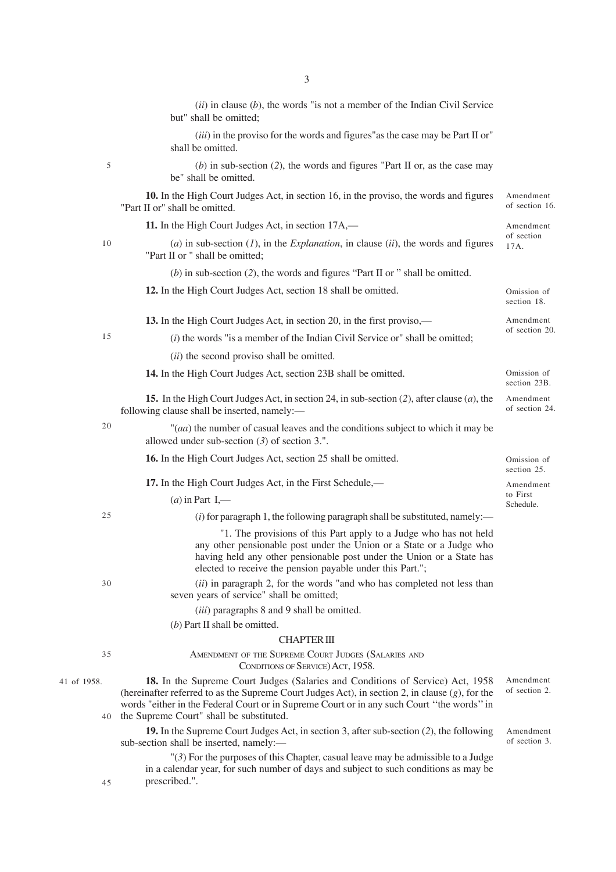|             | $(ii)$ in clause $(b)$ , the words "is not a member of the Indian Civil Service<br>but" shall be omitted;                                                                                                                                                                                                                         |                             |
|-------------|-----------------------------------------------------------------------------------------------------------------------------------------------------------------------------------------------------------------------------------------------------------------------------------------------------------------------------------|-----------------------------|
|             | (iii) in the proviso for the words and figures" as the case may be Part II or"<br>shall be omitted.                                                                                                                                                                                                                               |                             |
| 5           | (b) in sub-section $(2)$ , the words and figures "Part II or, as the case may<br>be" shall be omitted.                                                                                                                                                                                                                            |                             |
|             | 10. In the High Court Judges Act, in section 16, in the proviso, the words and figures<br>"Part II or" shall be omitted.                                                                                                                                                                                                          | Amendment<br>of section 16. |
|             | 11. In the High Court Judges Act, in section 17A,—                                                                                                                                                                                                                                                                                | Amendment                   |
| 10          | (a) in sub-section $(I)$ , in the <i>Explanation</i> , in clause $(ii)$ , the words and figures<br>"Part II or " shall be omitted;                                                                                                                                                                                                | of section<br>17A.          |
|             | $(b)$ in sub-section (2), the words and figures "Part II or " shall be omitted.                                                                                                                                                                                                                                                   |                             |
|             | 12. In the High Court Judges Act, section 18 shall be omitted.                                                                                                                                                                                                                                                                    | Omission of<br>section 18.  |
|             | 13. In the High Court Judges Act, in section 20, in the first proviso,—                                                                                                                                                                                                                                                           | Amendment                   |
| 15          | $(i)$ the words "is a member of the Indian Civil Service or" shall be omitted;                                                                                                                                                                                                                                                    | of section 20.              |
|             | (ii) the second proviso shall be omitted.                                                                                                                                                                                                                                                                                         |                             |
|             | 14. In the High Court Judges Act, section 23B shall be omitted.                                                                                                                                                                                                                                                                   | Omission of<br>section 23B. |
| 20          | <b>15.</b> In the High Court Judges Act, in section 24, in sub-section (2), after clause (a), the<br>following clause shall be inserted, namely:-                                                                                                                                                                                 | Amendment<br>of section 24. |
|             | "(aa) the number of casual leaves and the conditions subject to which it may be<br>allowed under sub-section $(3)$ of section 3.".                                                                                                                                                                                                |                             |
|             | 16. In the High Court Judges Act, section 25 shall be omitted.                                                                                                                                                                                                                                                                    | Omission of<br>section 25.  |
|             | 17. In the High Court Judges Act, in the First Schedule,—                                                                                                                                                                                                                                                                         | Amendment                   |
|             | $(a)$ in Part I,—                                                                                                                                                                                                                                                                                                                 | to First<br>Schedule.       |
| 25          | $(i)$ for paragraph 1, the following paragraph shall be substituted, namely:—                                                                                                                                                                                                                                                     |                             |
|             | "1. The provisions of this Part apply to a Judge who has not held<br>any other pensionable post under the Union or a State or a Judge who<br>having held any other pensionable post under the Union or a State has<br>elected to receive the pension payable under this Part.";                                                   |                             |
| 30          | $(ii)$ in paragraph 2, for the words "and who has completed not less than<br>seven years of service" shall be omitted;                                                                                                                                                                                                            |                             |
|             | (iii) paragraphs 8 and 9 shall be omitted.                                                                                                                                                                                                                                                                                        |                             |
|             | $(b)$ Part II shall be omitted.                                                                                                                                                                                                                                                                                                   |                             |
|             | <b>CHAPTER III</b>                                                                                                                                                                                                                                                                                                                |                             |
| 35          | AMENDMENT OF THE SUPREME COURT JUDGES (SALARIES AND<br>CONDITIONS OF SERVICE) ACT, 1958.                                                                                                                                                                                                                                          |                             |
| 41 of 1958. | 18. In the Supreme Court Judges (Salaries and Conditions of Service) Act, 1958<br>(hereinafter referred to as the Supreme Court Judges Act), in section 2, in clause $(g)$ , for the<br>words "either in the Federal Court or in Supreme Court or in any such Court "the words" in<br>40 the Supreme Court" shall be substituted. | Amendment<br>of section 2.  |
|             | 19. In the Supreme Court Judges Act, in section 3, after sub-section (2), the following<br>sub-section shall be inserted, namely:-                                                                                                                                                                                                | Amendment<br>of section 3.  |
| 45          | $\mathcal{H}(\mathcal{F})$ For the purposes of this Chapter, casual leave may be admissible to a Judge<br>in a calendar year, for such number of days and subject to such conditions as may be<br>prescribed.".                                                                                                                   |                             |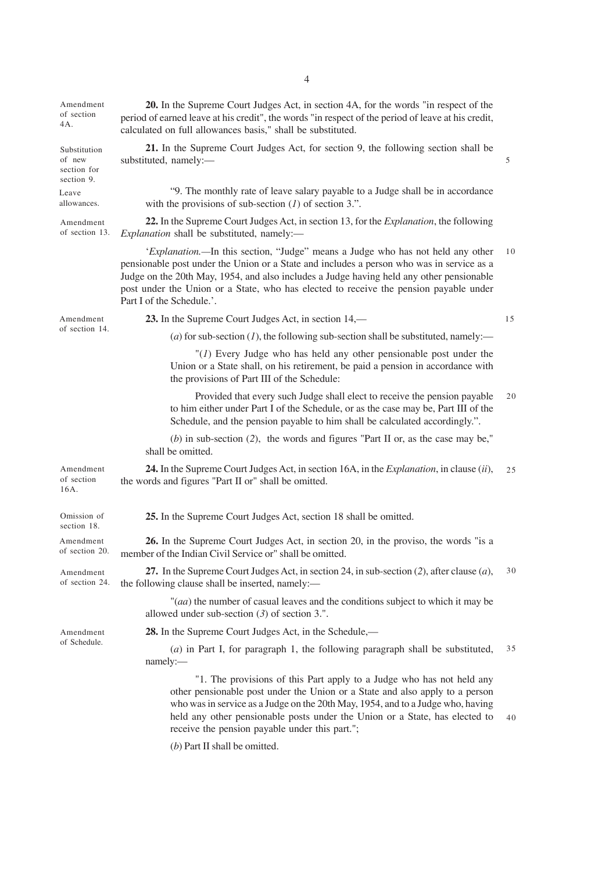**20.** In the Supreme Court Judges Act, in section 4A, for the words "in respect of the period of earned leave at his credit", the words "in respect of the period of leave at his credit, calculated on full allowances basis," shall be substituted. **21.** In the Supreme Court Judges Act, for section 9, the following section shall be substituted, namely:— "9. The monthly rate of leave salary payable to a Judge shall be in accordance with the provisions of sub-section (*1*) of section 3.". **22.** In the Supreme Court Judges Act, in section 13, for the *Explanation*, the following *Explanation* shall be substituted, namely:— '*Explanation.—*In this section, "Judge" means a Judge who has not held any other pensionable post under the Union or a State and includes a person who was in service as a Judge on the 20th May, 1954, and also includes a Judge having held any other pensionable post under the Union or a State, who has elected to receive the pension payable under Part I of the Schedule.'. **23.** In the Supreme Court Judges Act, in section 14,—  $(a)$  for sub-section  $(I)$ , the following sub-section shall be substituted, namely:— "(*1*) Every Judge who has held any other pensionable post under the Union or a State shall, on his retirement, be paid a pension in accordance with the provisions of Part III of the Schedule: Provided that every such Judge shall elect to receive the pension payable to him either under Part I of the Schedule, or as the case may be, Part III of the Schedule, and the pension payable to him shall be calculated accordingly.". (*b*) in sub-section (*2*), the words and figures "Part II or, as the case may be," shall be omitted. **24.** In the Supreme Court Judges Act, in section 16A, in the *Explanation*, in clause (*ii*), the words and figures "Part II or" shall be omitted. **25.** In the Supreme Court Judges Act, section 18 shall be omitted. **26.** In the Supreme Court Judges Act, in section 20, in the proviso, the words "is a member of the Indian Civil Service or" shall be omitted. **27.** In the Supreme Court Judges Act, in section 24, in sub-section (*2*), after clause (*a*), the following clause shall be inserted, namely:— "(*aa*) the number of casual leaves and the conditions subject to which it may be allowed under sub-section (*3*) of section 3.". **28.** In the Supreme Court Judges Act, in the Schedule,— (*a*) in Part I, for paragraph 1, the following paragraph shall be substituted, namely:— "1. The provisions of this Part apply to a Judge who has not held any other pensionable post under the Union or a State and also apply to a person who was in service as a Judge on the 20th May, 1954, and to a Judge who, having held any other pensionable posts under the Union or a State, has elected to receive the pension payable under this part."; Amendment of section 4A. Substitution of new section for section 9. Amendment of section 13. Amendment of section 14. Amendment of section 16A. Omission of section 18. Amendment of section 20. Amendment of section 24. Amendment of Schedule. Leave allowances. 5 10 15  $20$  $25$ 30 35 40

(*b*) Part II shall be omitted.

4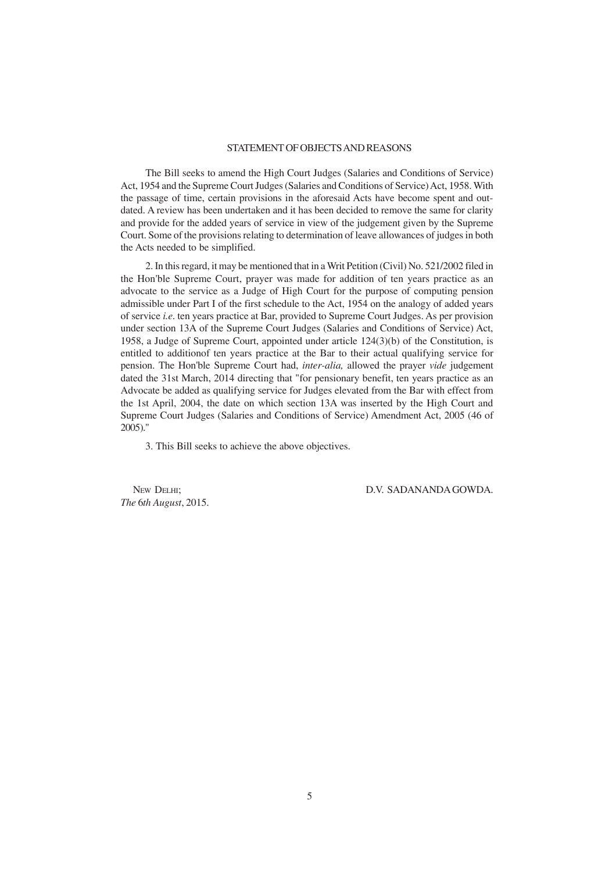#### STATEMENT OF OBJECTS AND REASONS

The Bill seeks to amend the High Court Judges (Salaries and Conditions of Service) Act, 1954 and the Supreme Court Judges (Salaries and Conditions of Service) Act, 1958. With the passage of time, certain provisions in the aforesaid Acts have become spent and outdated. A review has been undertaken and it has been decided to remove the same for clarity and provide for the added years of service in view of the judgement given by the Supreme Court. Some of the provisions relating to determination of leave allowances of judges in both the Acts needed to be simplified.

2. In this regard, it may be mentioned that in a Writ Petition (Civil) No. 521/2002 filed in the Hon'ble Supreme Court, prayer was made for addition of ten years practice as an advocate to the service as a Judge of High Court for the purpose of computing pension admissible under Part I of the first schedule to the Act, 1954 on the analogy of added years of service *i.e*. ten years practice at Bar, provided to Supreme Court Judges. As per provision under section 13A of the Supreme Court Judges (Salaries and Conditions of Service) Act, 1958, a Judge of Supreme Court, appointed under article 124(3)(b) of the Constitution, is entitled to additionof ten years practice at the Bar to their actual qualifying service for pension. The Hon'ble Supreme Court had, *inter-alia,* allowed the prayer *vide* judgement dated the 31st March, 2014 directing that "for pensionary benefit, ten years practice as an Advocate be added as qualifying service for Judges elevated from the Bar with effect from the 1st April, 2004, the date on which section 13A was inserted by the High Court and Supreme Court Judges (Salaries and Conditions of Service) Amendment Act, 2005 (46 of 2005)."

3. This Bill seeks to achieve the above objectives.

*The* 6*th August*, 2015.

NEW DELHI; D.V. SADANANDA GOWDA.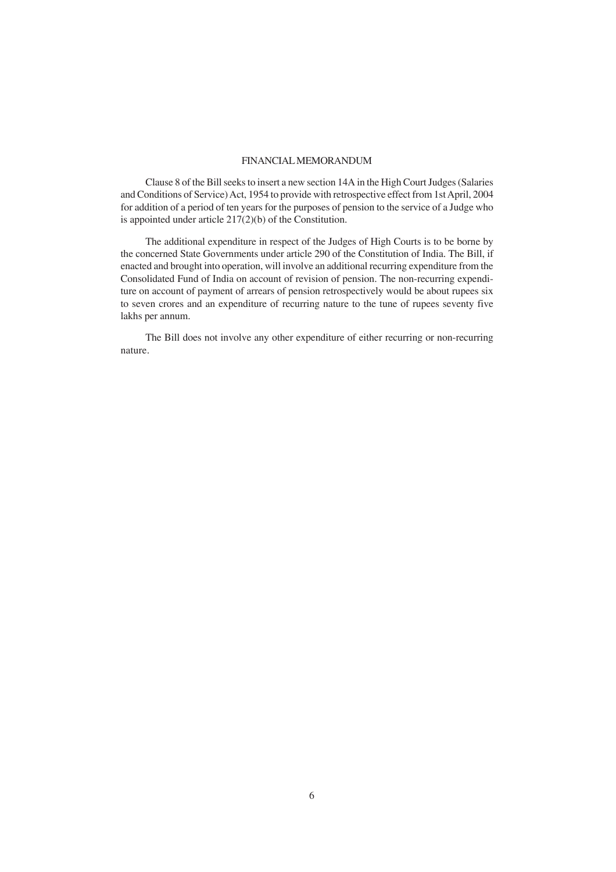#### FINANCIAL MEMORANDUM

Clause 8 of the Bill seeks to insert a new section 14A in the High Court Judges (Salaries and Conditions of Service) Act, 1954 to provide with retrospective effect from 1st April, 2004 for addition of a period of ten years for the purposes of pension to the service of a Judge who is appointed under article 217(2)(b) of the Constitution.

The additional expenditure in respect of the Judges of High Courts is to be borne by the concerned State Governments under article 290 of the Constitution of India. The Bill, if enacted and brought into operation, will involve an additional recurring expenditure from the Consolidated Fund of India on account of revision of pension. The non-recurring expenditure on account of payment of arrears of pension retrospectively would be about rupees six to seven crores and an expenditure of recurring nature to the tune of rupees seventy five lakhs per annum.

The Bill does not involve any other expenditure of either recurring or non-recurring nature.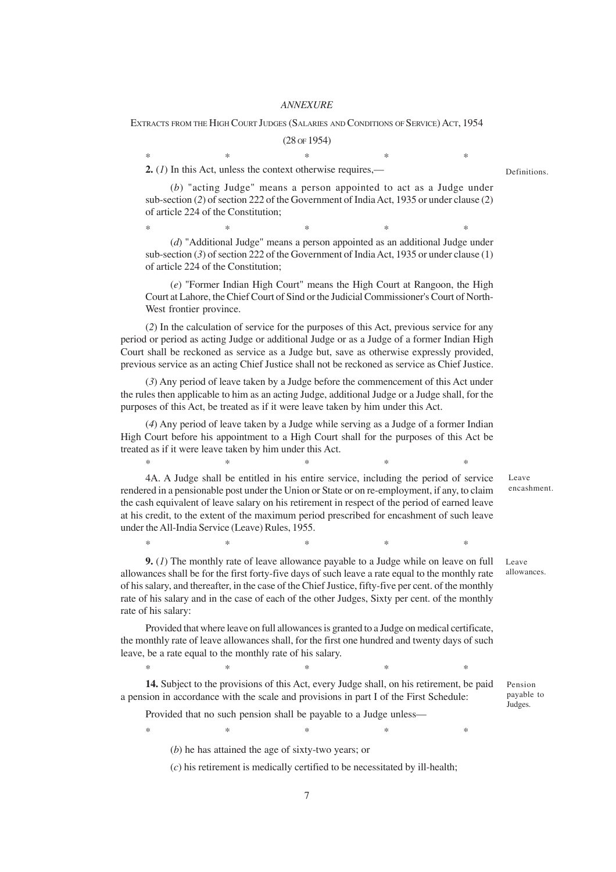#### *ANNEXURE*

EXTRACTS FROM THE HIGH COURT JUDGES (SALARIES AND CONDITIONS OF SERVICE) ACT, 1954

(28 OF 1954)  $*$  \*  $*$  \*  $*$  \*  $*$ 

**2.** (*1*) In this Act, unless the context otherwise requires,—

(*b*) "acting Judge" means a person appointed to act as a Judge under sub-section (*2*) of section 222 of the Government of India Act, 1935 or under clause (2) of article 224 of the Constitution;

 $*$  \*  $*$  \*  $*$  \*  $*$ (*d*) "Additional Judge" means a person appointed as an additional Judge under sub-section (*3*) of section 222 of the Government of India Act, 1935 or under clause (1) of article 224 of the Constitution;

(*e*) "Former Indian High Court" means the High Court at Rangoon, the High Court at Lahore, the Chief Court of Sind or the Judicial Commissioner's Court of North-West frontier province.

(*2*) In the calculation of service for the purposes of this Act, previous service for any period or period as acting Judge or additional Judge or as a Judge of a former Indian High Court shall be reckoned as service as a Judge but, save as otherwise expressly provided, previous service as an acting Chief Justice shall not be reckoned as service as Chief Justice.

(*3*) Any period of leave taken by a Judge before the commencement of this Act under the rules then applicable to him as an acting Judge, additional Judge or a Judge shall, for the purposes of this Act, be treated as if it were leave taken by him under this Act.

(*4*) Any period of leave taken by a Judge while serving as a Judge of a former Indian High Court before his appointment to a High Court shall for the purposes of this Act be treated as if it were leave taken by him under this Act.

 $*$  \*  $*$  \*  $*$  \*  $*$ 

4A. A Judge shall be entitled in his entire service, including the period of service rendered in a pensionable post under the Union or State or on re-employment, if any, to claim the cash equivalent of leave salary on his retirement in respect of the period of earned leave at his credit, to the extent of the maximum period prescribed for encashment of such leave under the All-India Service (Leave) Rules, 1955.

 $*$  \*  $*$  \*  $*$  \*  $*$ 

**9.** (*1*) The monthly rate of leave allowance payable to a Judge while on leave on full allowances shall be for the first forty-five days of such leave a rate equal to the monthly rate of his salary, and thereafter, in the case of the Chief Justice, fifty-five per cent. of the monthly rate of his salary and in the case of each of the other Judges, Sixty per cent. of the monthly rate of his salary:

Provided that where leave on full allowances is granted to a Judge on medical certificate, the monthly rate of leave allowances shall, for the first one hundred and twenty days of such leave, be a rate equal to the monthly rate of his salary.

 $*$  \*  $*$  \*  $*$  \*  $*$ 

**14.** Subject to the provisions of this Act, every Judge shall, on his retirement, be paid a pension in accordance with the scale and provisions in part I of the First Schedule:

 $*$  \*  $*$  \*  $*$  \*  $*$ 

Provided that no such pension shall be payable to a Judge unless—

Pension payable to

Judges.

Leave allowances.

Leave encashment.

(*b*) he has attained the age of sixty-two years; or

(*c*) his retirement is medically certified to be necessitated by ill-health;

Definitions.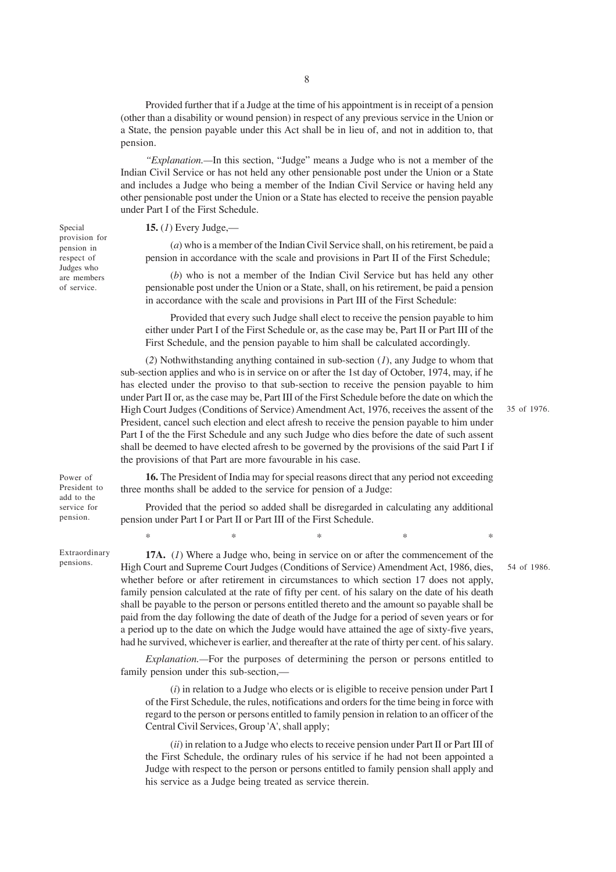Provided further that if a Judge at the time of his appointment is in receipt of a pension (other than a disability or wound pension) in respect of any previous service in the Union or a State, the pension payable under this Act shall be in lieu of, and not in addition to, that pension.

*''Explanation.—*In this section, "Judge" means a Judge who is not a member of the Indian Civil Service or has not held any other pensionable post under the Union or a State and includes a Judge who being a member of the Indian Civil Service or having held any other pensionable post under the Union or a State has elected to receive the pension payable under Part I of the First Schedule.

#### **15.** (*1*) Every Judge,—

(*a*) who is a member of the Indian Civil Service shall, on his retirement, be paid a pension in accordance with the scale and provisions in Part II of the First Schedule;

(*b*) who is not a member of the Indian Civil Service but has held any other pensionable post under the Union or a State, shall, on his retirement, be paid a pension in accordance with the scale and provisions in Part III of the First Schedule:

Provided that every such Judge shall elect to receive the pension payable to him either under Part I of the First Schedule or, as the case may be, Part II or Part III of the First Schedule, and the pension payable to him shall be calculated accordingly.

(*2*) Nothwithstanding anything contained in sub-section (*1*), any Judge to whom that sub-section applies and who is in service on or after the 1st day of October, 1974, may, if he has elected under the proviso to that sub-section to receive the pension payable to him under Part II or, as the case may be, Part III of the First Schedule before the date on which the High Court Judges (Conditions of Service) Amendment Act, 1976, receives the assent of the President, cancel such election and elect afresh to receive the pension payable to him under Part I of the the First Schedule and any such Judge who dies before the date of such assent shall be deemed to have elected afresh to be governed by the provisions of the said Part I if the provisions of that Part are more favourable in his case.

35 of 1976.

54 of 1986.

Power of President to add to the service for pension.

Special provision for pension in respect of Judges who are members of service.

Extraordinary pensions.

**16.** The President of India may for special reasons direct that any period not exceeding three months shall be added to the service for pension of a Judge:

Provided that the period so added shall be disregarded in calculating any additional pension under Part I or Part II or Part III of the First Schedule.

 $*$  \*  $*$  \*  $*$  \*

**17A.** (*1*) Where a Judge who, being in service on or after the commencement of the High Court and Supreme Court Judges (Conditions of Service) Amendment Act, 1986, dies, whether before or after retirement in circumstances to which section 17 does not apply, family pension calculated at the rate of fifty per cent. of his salary on the date of his death shall be payable to the person or persons entitled thereto and the amount so payable shall be paid from the day following the date of death of the Judge for a period of seven years or for a period up to the date on which the Judge would have attained the age of sixty-five years, had he survived, whichever is earlier, and thereafter at the rate of thirty per cent. of his salary.

*Explanation.—*For the purposes of determining the person or persons entitled to family pension under this sub-section,—

(*i*) in relation to a Judge who elects or is eligible to receive pension under Part I of the First Schedule, the rules, notifications and orders for the time being in force with regard to the person or persons entitled to family pension in relation to an officer of the Central Civil Services, Group 'A', shall apply;

(*ii*) in relation to a Judge who elects to receive pension under Part II or Part III of the First Schedule, the ordinary rules of his service if he had not been appointed a Judge with respect to the person or persons entitled to family pension shall apply and his service as a Judge being treated as service therein.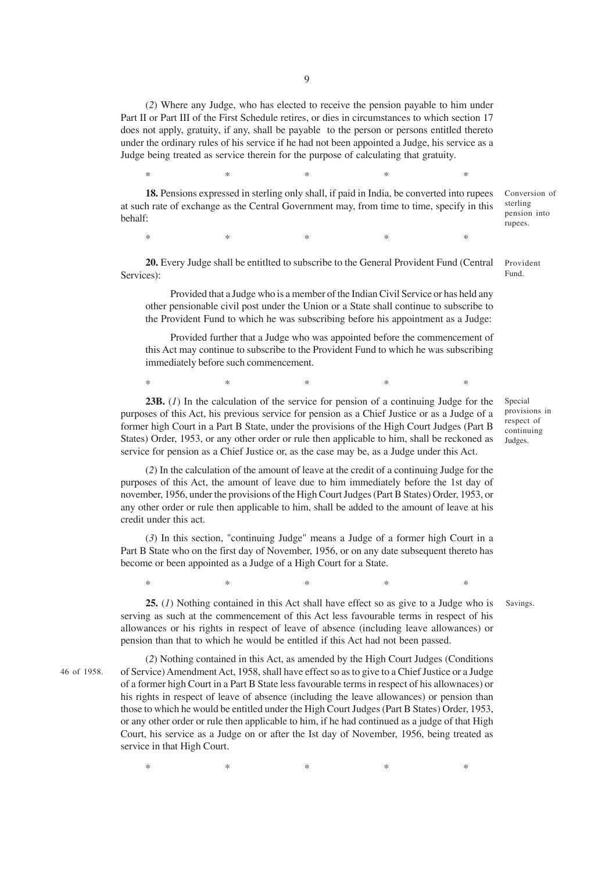(*2*) Where any Judge, who has elected to receive the pension payable to him under Part II or Part III of the First Schedule retires, or dies in circumstances to which section 17 does not apply, gratuity, if any, shall be payable to the person or persons entitled thereto under the ordinary rules of his service if he had not been appointed a Judge, his service as a Judge being treated as service therein for the purpose of calculating that gratuity.

**18.** Pensions expressed in sterling only shall, if paid in India, be converted into rupees at such rate of exchange as the Central Government may, from time to time, specify in this behalf:

 $*$  \*  $*$  \*  $*$  \*  $*$ 

 $*$  \*  $*$  \*  $*$  \*  $*$ 

**20.** Every Judge shall be entitlted to subscribe to the General Provident Fund (Central Services):

Provided that a Judge who is a member of the Indian Civil Service or has held any other pensionable civil post under the Union or a State shall continue to subscribe to the Provident Fund to which he was subscribing before his appointment as a Judge:

Provided further that a Judge who was appointed before the commencement of this Act may continue to subscribe to the Provident Fund to which he was subscribing immediately before such commencement.

 $*$  \*  $*$  \*  $*$  \*  $*$ 

**23B.** (*1*) In the calculation of the service for pension of a continuing Judge for the purposes of this Act, his previous service for pension as a Chief Justice or as a Judge of a former high Court in a Part B State, under the provisions of the High Court Judges (Part B States) Order, 1953, or any other order or rule then applicable to him, shall be reckoned as service for pension as a Chief Justice or, as the case may be, as a Judge under this Act.

(*2*) In the calculation of the amount of leave at the credit of a continuing Judge for the purposes of this Act, the amount of leave due to him immediately before the 1st day of november, 1956, under the provisions of the High Court Judges (Part B States) Order, 1953, or any other order or rule then applicable to him, shall be added to the amount of leave at his credit under this act.

(*3*) In this section, "continuing Judge" means a Judge of a former high Court in a Part B State who on the first day of November, 1956, or on any date subsequent thereto has become or been appointed as a Judge of a High Court for a State.

 $*$  \*  $*$  \*  $*$  \*  $*$ 

**25.** (*1*) Nothing contained in this Act shall have effect so as give to a Judge who is serving as such at the commencement of this Act less favourable terms in respect of his allowances or his rights in respect of leave of absence (including leave allowances) or pension than that to which he would be entitled if this Act had not been passed.

46 of 1958.

(*2*) Nothing contained in this Act, as amended by the High Court Judges (Conditions of Service) Amendment Act, 1958, shall have effect so as to give to a Chief Justice or a Judge of a former high Court in a Part B State less favourable terms in respect of his allownaces) or his rights in respect of leave of absence (including the leave allowances) or pension than those to which he would be entitled under the High Court Judges (Part B States) Order, 1953, or any other order or rule then applicable to him, if he had continued as a judge of that High Court, his service as a Judge on or after the Ist day of November, 1956, being treated as service in that High Court.

 $*$  \*  $*$  \*  $*$  \*  $*$ 

Provident Fund.

Conversion of sterling pension into rupees.

Special provisions in respect of continuing Judges.

Savings.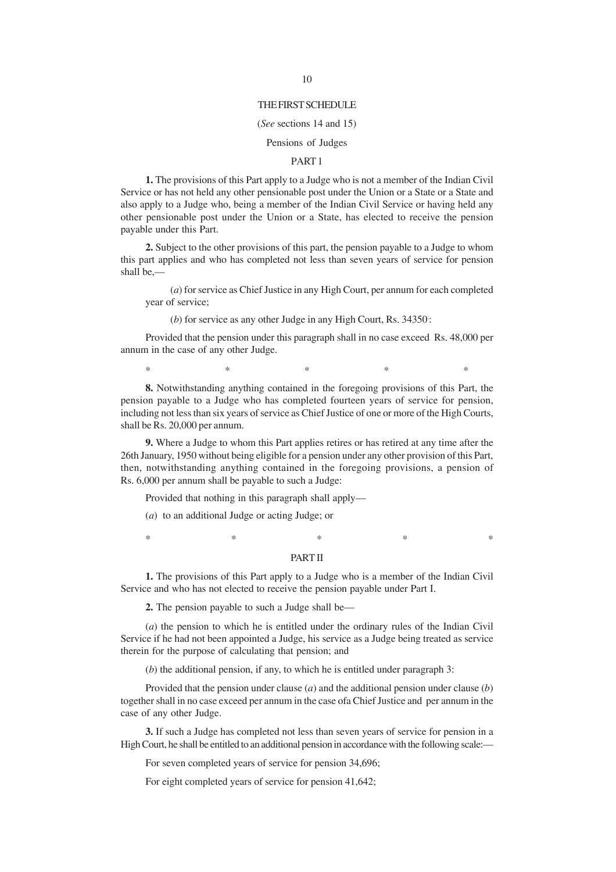#### THE FIRST SCHEDULE

#### (*See* sections 14 and 15)

### Pensions of Judges

#### PART 1

**1.** The provisions of this Part apply to a Judge who is not a member of the Indian Civil Service or has not held any other pensionable post under the Union or a State or a State and also apply to a Judge who, being a member of the Indian Civil Service or having held any other pensionable post under the Union or a State, has elected to receive the pension payable under this Part.

**2.** Subject to the other provisions of this part, the pension payable to a Judge to whom this part applies and who has completed not less than seven years of service for pension shall be,—

(*a*) for service as Chief Justice in any High Court, per annum for each completed year of service;

(b) for service as any other Judge in any High Court, Rs. 34350:

Provided that the pension under this paragraph shall in no case exceed Rs. 48,000 per annum in the case of any other Judge.

 $*$  \*  $*$  \*  $*$  \*  $*$ 

**8.** Notwithstanding anything contained in the foregoing provisions of this Part, the pension payable to a Judge who has completed fourteen years of service for pension, including not less than six years of service as Chief Justice of one or more of the High Courts, shall be Rs. 20,000 per annum.

**9.** Where a Judge to whom this Part applies retires or has retired at any time after the 26th January, 1950 without being eligible for a pension under any other provision of this Part, then, notwithstanding anything contained in the foregoing provisions, a pension of Rs. 6,000 per annum shall be payable to such a Judge:

Provided that nothing in this paragraph shall apply—

(*a*) to an additional Judge or acting Judge; or

 $*$  \*  $*$  \*  $*$  \*

#### PART II

**1.** The provisions of this Part apply to a Judge who is a member of the Indian Civil Service and who has not elected to receive the pension payable under Part I.

**2.** The pension payable to such a Judge shall be—

(*a*) the pension to which he is entitled under the ordinary rules of the Indian Civil Service if he had not been appointed a Judge, his service as a Judge being treated as service therein for the purpose of calculating that pension; and

(*b*) the additional pension, if any, to which he is entitled under paragraph 3:

Provided that the pension under clause (*a*) and the additional pension under clause (*b*) together shall in no case exceed per annum in the case ofa Chief Justice and per annum in the case of any other Judge.

**3.** If such a Judge has completed not less than seven years of service for pension in a High Court, he shall be entitled to an additional pension in accordance with the following scale:—

For seven completed years of service for pension 34,696;

For eight completed years of service for pension 41,642;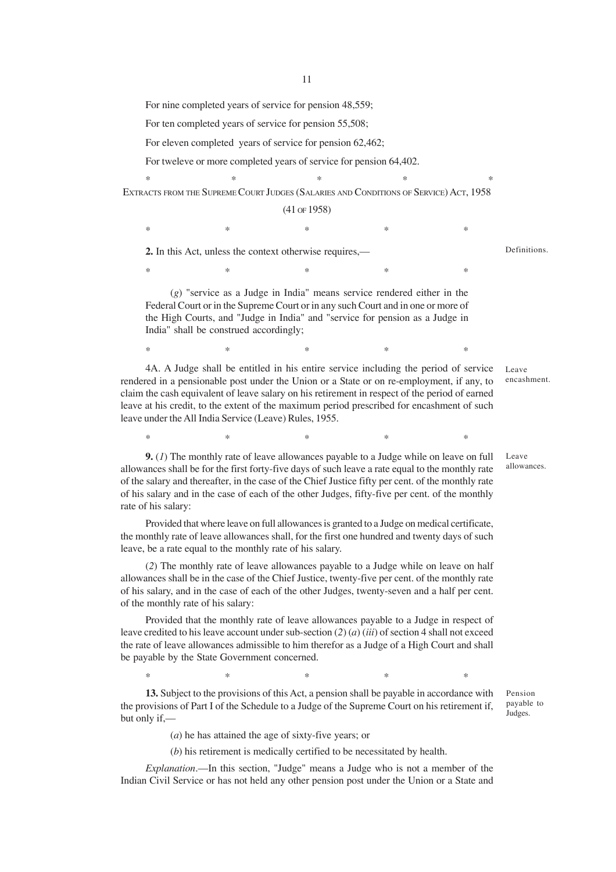For nine completed years of service for pension 48,559;

For ten completed years of service for pension 55,508;

For eleven completed years of service for pension 62,462;

For tweleve or more completed years of service for pension 64,402.

 $*$  \*  $*$  \*  $*$  \* EXTRACTS FROM THE SUPREME COURT JUDGES (SALARIES AND CONDITIONS OF SERVICE) ACT, 1958

(41 OF 1958)

 $*$  \*  $*$  \*  $*$  \*  $*$ 

\* \* \* \* \* \* \* \* \*

**2.** In this Act, unless the context otherwise requires,—

Definitions.

(*g*) "service as a Judge in India" means service rendered either in the Federal Court or in the Supreme Court or in any such Court and in one or more of the High Courts, and "Judge in India" and "service for pension as a Judge in India" shall be construed accordingly;

 $*$  \*  $*$  \*  $*$  \*  $*$ 

4A. A Judge shall be entitled in his entire service including the period of service rendered in a pensionable post under the Union or a State or on re-employment, if any, to claim the cash equivalent of leave salary on his retirement in respect of the period of earned leave at his credit, to the extent of the maximum period prescribed for encashment of such leave under the All India Service (Leave) Rules, 1955.

 $*$  \*  $*$  \*  $*$  \*  $*$ 

**9.** (*1*) The monthly rate of leave allowances payable to a Judge while on leave on full allowances shall be for the first forty-five days of such leave a rate equal to the monthly rate of the salary and thereafter, in the case of the Chief Justice fifty per cent. of the monthly rate of his salary and in the case of each of the other Judges, fifty-five per cent. of the monthly rate of his salary:

Provided that where leave on full allowances is granted to a Judge on medical certificate, the monthly rate of leave allowances shall, for the first one hundred and twenty days of such leave, be a rate equal to the monthly rate of his salary.

(*2*) The monthly rate of leave allowances payable to a Judge while on leave on half allowances shall be in the case of the Chief Justice, twenty-five per cent. of the monthly rate of his salary, and in the case of each of the other Judges, twenty-seven and a half per cent. of the monthly rate of his salary:

Provided that the monthly rate of leave allowances payable to a Judge in respect of leave credited to his leave account under sub-section (*2*) (*a*) (*iii*) of section 4 shall not exceed the rate of leave allowances admissible to him therefor as a Judge of a High Court and shall be payable by the State Government concerned.

 $*$  \*  $*$  \*  $*$  \*  $*$ 

**13.** Subject to the provisions of this Act, a pension shall be payable in accordance with the provisions of Part I of the Schedule to a Judge of the Supreme Court on his retirement if, but only if,—

(*a*) he has attained the age of sixty-five years; or

(*b*) his retirement is medically certified to be necessitated by health.

*Explanation*.—In this section, "Judge" means a Judge who is not a member of the Indian Civil Service or has not held any other pension post under the Union or a State and

Pension payable to Judges.

Leave encashment.

Leave allowances.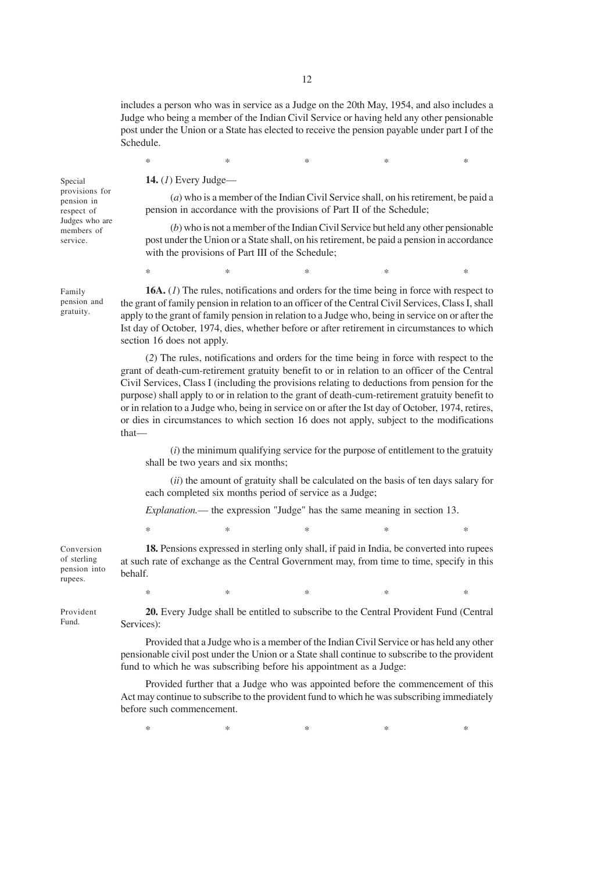includes a person who was in service as a Judge on the 20th May, 1954, and also includes a Judge who being a member of the Indian Civil Service or having held any other pensionable post under the Union or a State has elected to receive the pension payable under part I of the Schedule.

 $*$  \*  $*$  \*  $*$  \*  $*$ 

Special provisions for pension in respect of Judges who are members of service.

Family pension and gratuity.

**14.** (*1*) Every Judge—

(*a*) who is a member of the Indian Civil Service shall, on his retirement, be paid a pension in accordance with the provisions of Part II of the Schedule;

(*b*) who is not a member of the Indian Civil Service but held any other pensionable post under the Union or a State shall, on his retirement, be paid a pension in accordance with the provisions of Part III of the Schedule;

**16A.** (*1*) The rules, notifications and orders for the time being in force with respect to the grant of family pension in relation to an officer of the Central Civil Services, Class I, shall apply to the grant of family pension in relation to a Judge who, being in service on or after the Ist day of October, 1974, dies, whether before or after retirement in circumstances to which section 16 does not apply.

 $*$  \*  $*$  \*  $*$  \*  $*$ 

(*2*) The rules, notifications and orders for the time being in force with respect to the grant of death-cum-retirement gratuity benefit to or in relation to an officer of the Central Civil Services, Class I (including the provisions relating to deductions from pension for the purpose) shall apply to or in relation to the grant of death-cum-retirement gratuity benefit to or in relation to a Judge who, being in service on or after the Ist day of October, 1974, retires, or dies in circumstances to which section 16 does not apply, subject to the modifications that—

(*i*) the minimum qualifying service for the purpose of entitlement to the gratuity shall be two years and six months;

(*ii*) the amount of gratuity shall be calculated on the basis of ten days salary for each completed six months period of service as a Judge;

*Explanation.*— the expression "Judge" has the same meaning in section 13.

 $*$  \*  $*$  \*  $*$  \*  $*$ 

Conversion of sterling pension into rupees.

**18.** Pensions expressed in sterling only shall, if paid in India, be converted into rupees at such rate of exchange as the Central Government may, from time to time, specify in this behalf.

Provident Fund.

**20.** Every Judge shall be entitled to subscribe to the Central Provident Fund (Central Services):

 $*$  \*  $*$  \*  $*$  \*  $*$ 

Provided that a Judge who is a member of the Indian Civil Service or has held any other pensionable civil post under the Union or a State shall continue to subscribe to the provident fund to which he was subscribing before his appointment as a Judge:

Provided further that a Judge who was appointed before the commencement of this Act may continue to subscribe to the provident fund to which he was subscribing immediately before such commencement.

 $*$  \*  $*$  \*  $*$  \*  $*$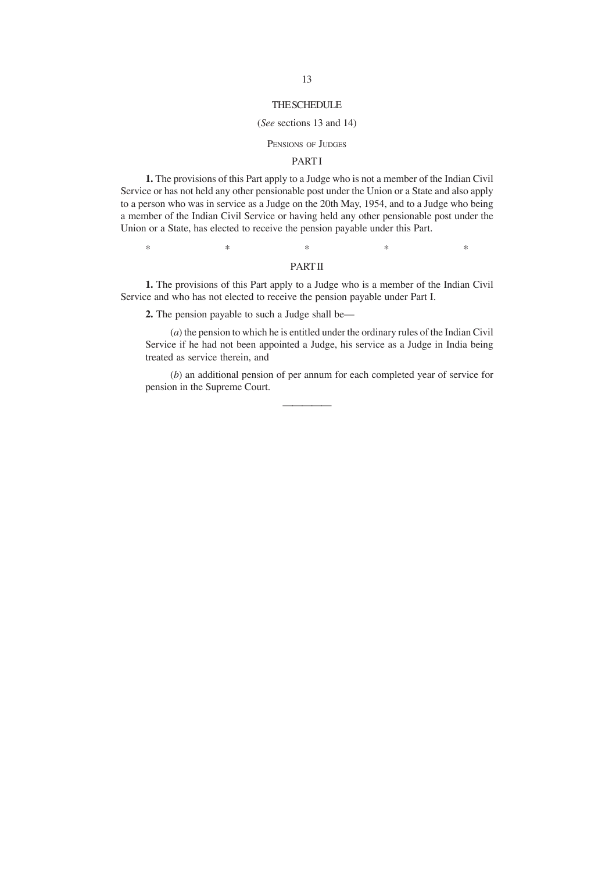#### THE SCHEDULE

#### (*See* sections 13 and 14)

#### PENSIONS OF JUDGES

### **PARTI**

**1.** The provisions of this Part apply to a Judge who is not a member of the Indian Civil Service or has not held any other pensionable post under the Union or a State and also apply to a person who was in service as a Judge on the 20th May, 1954, and to a Judge who being a member of the Indian Civil Service or having held any other pensionable post under the Union or a State, has elected to receive the pension payable under this Part.

 $*$  \*  $*$  \*  $*$  \*  $*$ 

## PART II

**1.** The provisions of this Part apply to a Judge who is a member of the Indian Civil Service and who has not elected to receive the pension payable under Part I.

**2.** The pension payable to such a Judge shall be—

(*a*) the pension to which he is entitled under the ordinary rules of the Indian Civil Service if he had not been appointed a Judge, his service as a Judge in India being treated as service therein, and

(*b*) an additional pension of per annum for each completed year of service for pension in the Supreme Court.

—————

13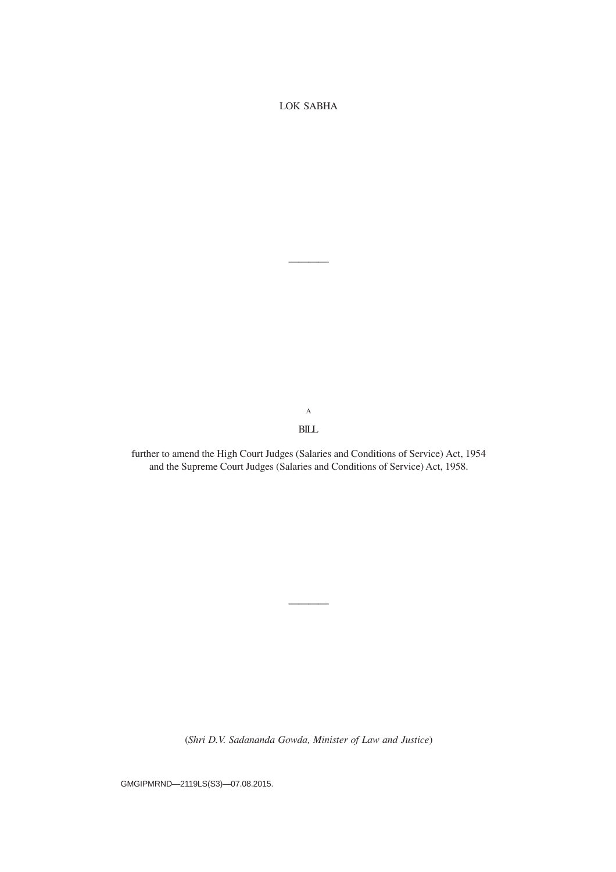LOK SABHA

————

A BILL

further to amend the High Court Judges (Salaries and Conditions of Service) Act, 1954 and the Supreme Court Judges (Salaries and Conditions of Service) Act, 1958.

(*Shri D.V. Sadananda Gowda, Minister of Law and Justice*)

————

GMGIPMRND—2119LS(S3)—07.08.2015.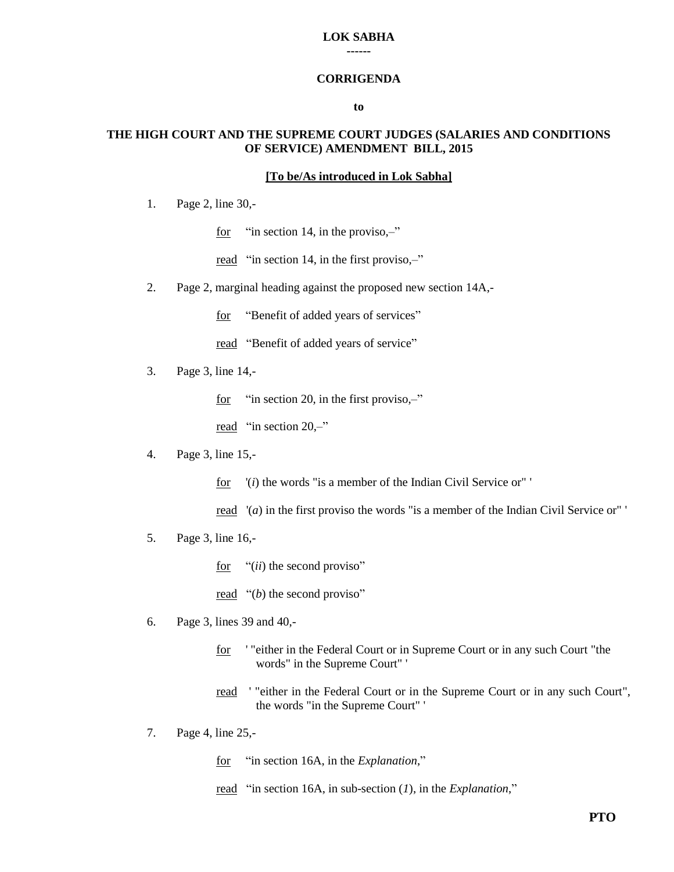## **LOK SABHA**

**------**

### **CORRIGENDA**

### **to**

## **THE HIGH COURT AND THE SUPREME COURT JUDGES (SALARIES AND CONDITIONS OF SERVICE) AMENDMENT BILL, 2015**

## **[To be/As introduced in Lok Sabha]**

- 1. Page 2, line 30,
	- for "in section 14, in the proviso,-"
	- read "in section 14, in the first proviso,-"
- 2. Page 2, marginal heading against the proposed new section 14A,
	- for "Benefit of added years of services"
	- read "Benefit of added years of service"
- 3. Page 3, line 14,
	- for "in section 20, in the first proviso,-"
	- read "in section 20,–"
- 4. Page 3, line 15,
	- for '(*i*) the words "is a member of the Indian Civil Service or" '
	- read '(*a*) in the first proviso the words "is a member of the Indian Civil Service or" '
- 5. Page 3, line 16,
	- for "(*ii*) the second proviso"
	- read  $"$ *(b)* the second proviso"
- 6. Page 3, lines 39 and 40,
	- for ' "either in the Federal Court or in Supreme Court or in any such Court "the words" in the Supreme Court" '
	- read '"either in the Federal Court or in the Supreme Court or in any such Court", the words "in the Supreme Court" '
- 7. Page 4, line 25,
	- for "in section 16A, in the *Explanation*,"
	- read "in section 16A, in sub-section (*1*), in the *Explanation*,"